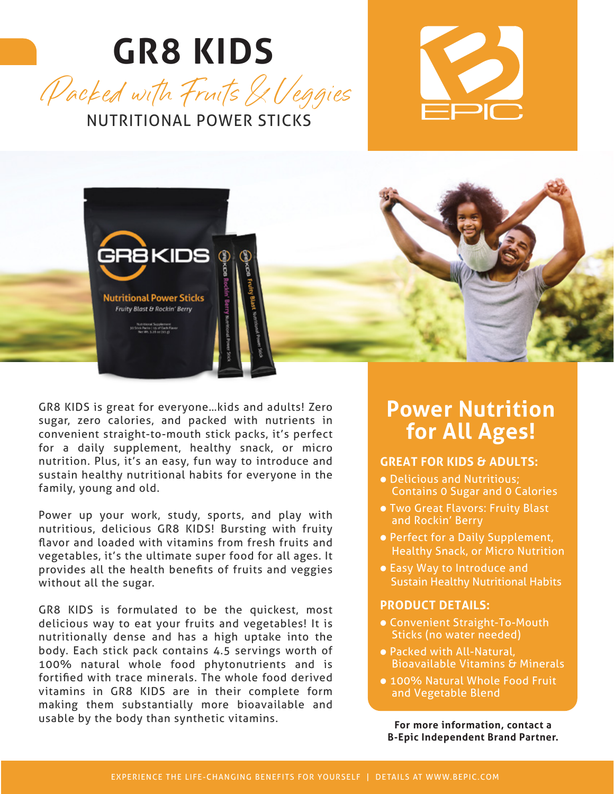# **GR8 KIDS**







GR8 KIDS is great for everyone…kids and adults! Zero sugar, zero calories, and packed with nutrients in convenient straight-to-mouth stick packs, it's perfect for a daily supplement, healthy snack, or micro nutrition. Plus, it's an easy, fun way to introduce and sustain healthy nutritional habits for everyone in the family, young and old.

Power up your work, study, sports, and play with nutritious, delicious GR8 KIDS! Bursting with fruity flavor and loaded with vitamins from fresh fruits and vegetables, it's the ultimate super food for all ages. It provides all the health benefits of fruits and veggies without all the sugar.

GR8 KIDS is formulated to be the quickest, most delicious way to eat your fruits and vegetables! It is nutritionally dense and has a high uptake into the body. Each stick pack contains 4.5 servings worth of 100% natural whole food phytonutrients and is fortified with trace minerals. The whole food derived vitamins in GR8 KIDS are in their complete form making them substantially more bioavailable and usable by the body than synthetic vitamins.

#### **Power Nutrition for All Ages!**

#### **GREAT FOR KIDS & ADULTS:**

- Delicious and Nutritious; Contains 0 Sugar and 0 Calories
- Two Great Flavors: Fruity Blast and Rockin' Berry
- Perfect for a Daily Supplement, Healthy Snack, or Micro Nutrition
- Easy Way to Introduce and Sustain Healthy Nutritional Habits

#### **PRODUCT DETAILS:**

- Convenient Straight-To-Mouth Sticks (no water needed)
- Packed with All-Natural, Bioavailable Vitamins & Minerals
- 100% Natural Whole Food Fruit and Vegetable Blend

**For more information, contact a B-Epic Independent Brand Partner.**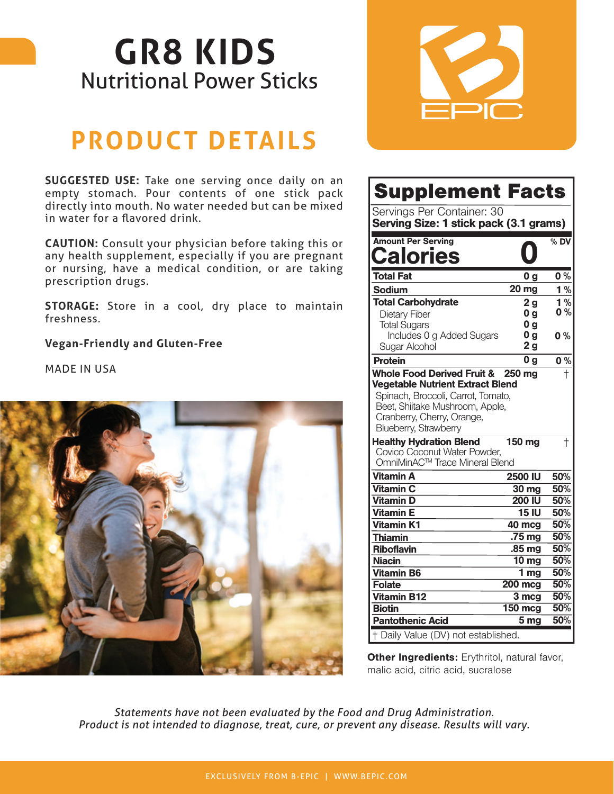## **GR8 KIDS**  Nutritional Power Sticks

## **PRODUCT DETAILS**

**SUGGESTED USE:** Take one serving once daily on an empty stomach. Pour contents of one stick pack directly into mouth. No water needed but can be mixed in water for a flavored drink.

**CAUTION:** Consult your physician before taking this or any health supplement, especially if you are pregnant or nursing, have a medical condition, or are taking prescription drugs.

**STORAGE:** Store in a cool, dry place to maintain freshness.

**Vegan-Friendly and Gluten-Free**

MADE IN USA





| <b>Supplement Facts</b>                                                                                                                                                 |                               |                  |
|-------------------------------------------------------------------------------------------------------------------------------------------------------------------------|-------------------------------|------------------|
| Servings Per Container: 30<br>Serving Size: 1 stick pack (3.1 grams)                                                                                                    |                               |                  |
| <b>Amount Per Serving</b><br><b>alories:</b>                                                                                                                            |                               | $%$ DV           |
| <b>Total Fat</b>                                                                                                                                                        | 0 a                           | 0%               |
| Sodium                                                                                                                                                                  | <b>20 mg</b>                  | 1%               |
| <b>Total Carbohydrate</b>                                                                                                                                               | 2 <sub>g</sub>                | 1%               |
| Dietary Fiber                                                                                                                                                           | 0 <sub>g</sub>                | 0%               |
| <b>Total Sugars</b>                                                                                                                                                     | 0 <sub>g</sub>                |                  |
| Includes 0 g Added Sugars                                                                                                                                               | 0 <sub>g</sub>                | 0%               |
| Sugar Alcohol                                                                                                                                                           | 2 <sub>g</sub>                |                  |
| <b>Protein</b><br><b>Whole Food Derived Fruit &amp;</b>                                                                                                                 | 0 <sub>q</sub><br>250 mg      | 0%<br>$\ddagger$ |
| <b>Vegetable Nutrient Extract Blend</b><br>Spinach, Broccoli, Carrot, Tomato,<br>Beet, Shiitake Mushroom, Apple,<br>Cranberry, Cherry, Orange,<br>Blueberry, Strawberry |                               |                  |
| <b>Healthy Hydration Blend</b><br>Covico Coconut Water Powder,<br>OmniMinAC™ Trace Mineral Blend                                                                        | 150 mg                        | $^\mathrm{+}$    |
| <b>Vitamin A</b>                                                                                                                                                        | <b>2500 IU</b>                | 50%              |
| <b>Vitamin C</b>                                                                                                                                                        | 30 mg                         | 50%              |
| <b>Vitamin D</b>                                                                                                                                                        | 200 IU                        | 50%              |
| <b>Vitamin E</b>                                                                                                                                                        | <b>15 IU</b>                  | 50%              |
| <b>Vitamin K1</b>                                                                                                                                                       | 40 mcg                        | 50%              |
| <b>Thiamin</b>                                                                                                                                                          | .75 <sub>mg</sub>             | 50%              |
| <b>Riboflavin</b>                                                                                                                                                       | .85 mg                        | 50%              |
| <b>Niacin</b>                                                                                                                                                           | $\overline{10}$ mg            | 50%              |
| <b>Vitamin B6</b>                                                                                                                                                       | 1 <sub>mg</sub>               | 50%<br>50%       |
| <b>Folate</b><br><b>Vitamin B12</b>                                                                                                                                     | $200$ mcg                     | 50%              |
| <b>Biotin</b>                                                                                                                                                           | 3 <sub>mcg</sub><br>$150$ mcg | 50%              |
|                                                                                                                                                                         |                               |                  |
| <b>Pantothenic Acid</b>                                                                                                                                                 | $\overline{5}$ mg             | 50%              |

Other Ingredients: Erythritol, natural favor, malic acid, citric acid, sucralose

*Statements have not been evaluated by the Food and Drug Administration. Product is not intended to diagnose, treat, cure, or prevent any disease. Results will vary.*